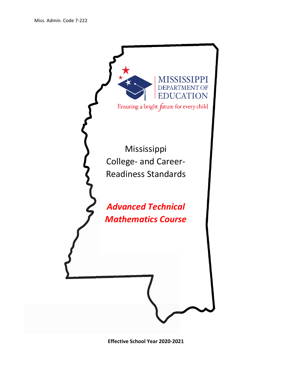

**Effective School Year 2020-2021**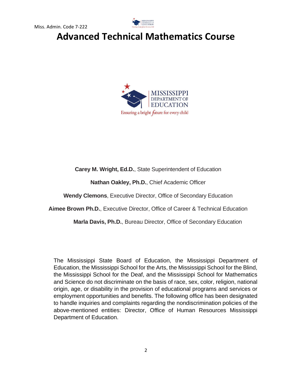



**Carey M. Wright, Ed.D.**, State Superintendent of Education

**Nathan Oakley, Ph.D.**, Chief Academic Officer

**Wendy Clemons**, Executive Director, Office of Secondary Education

**Aimee Brown Ph.D.**, Executive Director, Office of Career & Technical Education

**Marla Davis, Ph.D.**, Bureau Director, Office of Secondary Education

The Mississippi State Board of Education, the Mississippi Department of Education, the Mississippi School for the Arts, the Mississippi School for the Blind, the Mississippi School for the Deaf, and the Mississippi School for Mathematics and Science do not discriminate on the basis of race, sex, color, religion, national origin, age, or disability in the provision of educational programs and services or employment opportunities and benefits. The following office has been designated to handle inquiries and complaints regarding the nondiscrimination policies of the above-mentioned entities: Director, Office of Human Resources Mississippi Department of Education.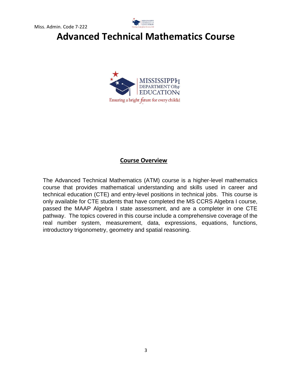



#### **Course Overview**

The Advanced Technical Mathematics (ATM) course is a higher-level mathematics course that provides mathematical understanding and skills used in career and technical education (CTE) and entry-level positions in technical jobs. This course is only available for CTE students that have completed the MS CCRS Algebra I course, passed the MAAP Algebra I state assessment, and are a completer in one CTE pathway. The topics covered in this course include a comprehensive coverage of the real number system, measurement, data, expressions, equations, functions, introductory trigonometry, geometry and spatial reasoning.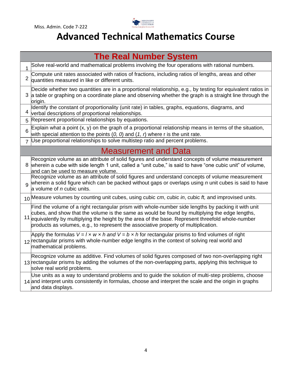

| <b>The Real Number System</b> |                                                                                                                                                                                                                                                                                                                                                                                                     |  |
|-------------------------------|-----------------------------------------------------------------------------------------------------------------------------------------------------------------------------------------------------------------------------------------------------------------------------------------------------------------------------------------------------------------------------------------------------|--|
| 1                             | Solve real-world and mathematical problems involving the four operations with rational numbers.                                                                                                                                                                                                                                                                                                     |  |
| 2                             | Compute unit rates associated with ratios of fractions, including ratios of lengths, areas and other<br>quantities measured in like or different units.                                                                                                                                                                                                                                             |  |
| 3                             | Decide whether two quantities are in a proportional relationship, e.g., by testing for equivalent ratios in<br>a table or graphing on a coordinate plane and observing whether the graph is a straight line through the<br>origin.                                                                                                                                                                  |  |
|                               | Identify the constant of proportionality (unit rate) in tables, graphs, equations, diagrams, and<br>verbal descriptions of proportional relationships.                                                                                                                                                                                                                                              |  |
| 5                             | Represent proportional relationships by equations.                                                                                                                                                                                                                                                                                                                                                  |  |
| 6                             | Explain what a point $(x, y)$ on the graph of a proportional relationship means in terms of the situation,<br>with special attention to the points $(0, 0)$ and $(1, r)$ where r is the unit rate.                                                                                                                                                                                                  |  |
| $\overline{7}$                | Use proportional relationships to solve multistep ratio and percent problems.                                                                                                                                                                                                                                                                                                                       |  |
| <b>Measurement and Data</b>   |                                                                                                                                                                                                                                                                                                                                                                                                     |  |
| 8                             | Recognize volume as an attribute of solid figures and understand concepts of volume measurement<br>wherein a cube with side length 1 unit, called a "unit cube," is said to have "one cubic unit" of volume,<br>and can be used to measure volume.                                                                                                                                                  |  |
| q                             | Recognize volume as an attribute of solid figures and understand concepts of volume measurement<br>Wherein a solid figure which can be packed without gaps or overlaps using $n$ unit cubes is said to have<br>a volume of <i>n</i> cubic units.                                                                                                                                                    |  |
|                               | 10 Measure volumes by counting unit cubes, using cubic cm, cubic in, cubic ft, and improvised units.                                                                                                                                                                                                                                                                                                |  |
|                               | Find the volume of a right rectangular prism with whole-number side lengths by packing it with unit<br>cubes, and show that the volume is the same as would be found by multiplying the edge lengths,<br>11 equivalently by multiplying the height by the area of the base. Represent threefold whole-number<br>products as volumes, e.g., to represent the associative property of multiplication. |  |
|                               | Apply the formulas $V = l \times w \times h$ and $V = b \times h$ for rectangular prisms to find volumes of right<br>$_{12}$ rectangular prisms with whole-number edge lengths in the context of solving real world and<br>mathematical problems.                                                                                                                                                   |  |
|                               | Recognize volume as additive. Find volumes of solid figures composed of two non-overlapping right<br>13 rectangular prisms by adding the volumes of the non-overlapping parts, applying this technique to<br>solve real world problems.                                                                                                                                                             |  |
|                               | Use units as a way to understand problems and to guide the solution of multi-step problems, choose<br>14 and interpret units consistently in formulas, choose and interpret the scale and the origin in graphs<br>and data displays.                                                                                                                                                                |  |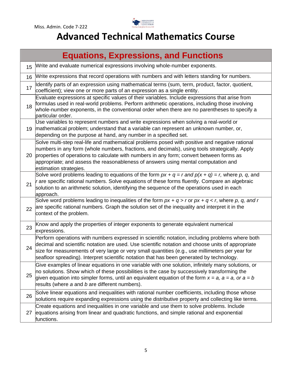

|    | <b>Equations, Expressions, and Functions</b>                                                                                                                                                                                                                                                                                                                                                                 |
|----|--------------------------------------------------------------------------------------------------------------------------------------------------------------------------------------------------------------------------------------------------------------------------------------------------------------------------------------------------------------------------------------------------------------|
| 15 | Write and evaluate numerical expressions involving whole-number exponents.                                                                                                                                                                                                                                                                                                                                   |
| 16 | Write expressions that record operations with numbers and with letters standing for numbers.                                                                                                                                                                                                                                                                                                                 |
| 17 | Identify parts of an expression using mathematical terms (sum, term, product, factor, quotient,<br>coefficient); view one or more parts of an expression as a single entity.                                                                                                                                                                                                                                 |
| 18 | Evaluate expressions at specific values of their variables. Include expressions that arise from<br>formulas used in real-world problems. Perform arithmetic operations, including those involving<br>whole-number exponents, in the conventional order when there are no parentheses to specify a<br>particular order.                                                                                       |
| 19 | Use variables to represent numbers and write expressions when solving a real-world or<br>mathematical problem; understand that a variable can represent an unknown number, or,<br>depending on the purpose at hand, any number in a specified set.                                                                                                                                                           |
| 20 | Solve multi-step real-life and mathematical problems posed with positive and negative rational<br>numbers in any form (whole numbers, fractions, and decimals), using tools strategically. Apply<br>properties of operations to calculate with numbers in any form; convert between forms as<br>appropriate; and assess the reasonableness of answers using mental computation and<br>estimation strategies. |
| 21 | Solve word problems leading to equations of the form $px + q = r$ and $p(x + q) = r$ , where p, q, and<br>$r$ are specific rational numbers. Solve equations of these forms fluently. Compare an algebraic<br>solution to an arithmetic solution, identifying the sequence of the operations used in each<br>approach.                                                                                       |
| 22 | Solve word problems leading to inequalities of the form $px + q > r$ or $px + q < r$ , where p, q, and r<br>are specific rational numbers. Graph the solution set of the inequality and interpret it in the<br>context of the problem.                                                                                                                                                                       |
| 23 | Know and apply the properties of integer exponents to generate equivalent numerical<br>expressions.                                                                                                                                                                                                                                                                                                          |
| 24 | Perform operations with numbers expressed in scientific notation, including problems where both<br>decimal and scientific notation are used. Use scientific notation and choose units of appropriate<br>size for measurements of very large or very small quantities (e.g., use millimeters per year for<br>seafloor spreading). Interpret scientific notation that has been generated by technology.        |
| 25 | Give examples of linear equations in one variable with one solution, infinitely many solutions, or<br>no solutions. Show which of these possibilities is the case by successively transforming the<br>given equation into simpler forms, until an equivalent equation of the form $x = a$ , $a = a$ , or $a = b$<br>results (where a and b are different numbers).                                           |
| 26 | Solve linear equations and inequalities with rational number coefficients, including those whose<br>solutions require expanding expressions using the distributive property and collecting like terms.                                                                                                                                                                                                       |
| 27 | Create equations and inequalities in one variable and use them to solve problems. Include<br>equations arising from linear and quadratic functions, and simple rational and exponential<br>functions.                                                                                                                                                                                                        |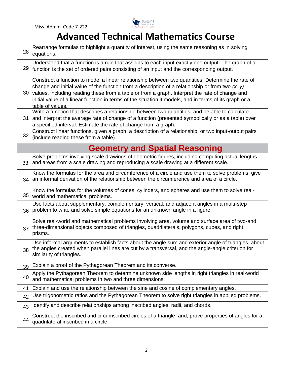

| 28 | Rearrange formulas to highlight a quantity of interest, using the same reasoning as in solving<br>equations.                                                                                                                                                                                                                                                                                                                            |
|----|-----------------------------------------------------------------------------------------------------------------------------------------------------------------------------------------------------------------------------------------------------------------------------------------------------------------------------------------------------------------------------------------------------------------------------------------|
| 29 | Understand that a function is a rule that assigns to each input exactly one output. The graph of a<br>function is the set of ordered pairs consisting of an input and the corresponding output.                                                                                                                                                                                                                                         |
| 30 | Construct a function to model a linear relationship between two quantities. Determine the rate of<br>change and initial value of the function from a description of a relationship or from two $(x, y)$<br>values, including reading these from a table or from a graph. Interpret the rate of change and<br>initial value of a linear function in terms of the situation it models, and in terms of its graph or a<br>table of values. |
| 31 | Write a function that describes a relationship between two quantities; and be able to calculate<br>and interpret the average rate of change of a function (presented symbolically or as a table) over<br>a specified interval. Estimate the rate of change from a graph.                                                                                                                                                                |
| 32 | Construct linear functions, given a graph, a description of a relationship, or two input-output pairs<br>(include reading these from a table).                                                                                                                                                                                                                                                                                          |
|    | <b>Geometry and Spatial Reasoning</b>                                                                                                                                                                                                                                                                                                                                                                                                   |
| 33 | Solve problems involving scale drawings of geometric figures, including computing actual lengths<br>and areas from a scale drawing and reproducing a scale drawing at a different scale.                                                                                                                                                                                                                                                |
| 34 | Know the formulas for the area and circumference of a circle and use them to solve problems; give<br>an informal derivation of the relationship between the circumference and area of a circle.                                                                                                                                                                                                                                         |
| 35 | Know the formulas for the volumes of cones, cylinders, and spheres and use them to solve real-<br>world and mathematical problems.                                                                                                                                                                                                                                                                                                      |
| 36 | Use facts about supplementary, complementary, vertical, and adjacent angles in a multi-step<br>problem to write and solve simple equations for an unknown angle in a figure.                                                                                                                                                                                                                                                            |
| 37 | Solve real-world and mathematical problems involving area, volume and surface area of two-and<br>three-dimensional objects composed of triangles, quadrilaterals, polygons, cubes, and right<br>prisms.                                                                                                                                                                                                                                 |
| 38 | Use informal arguments to establish facts about the angle sum and exterior angle of triangles, about<br>the angles created when parallel lines are cut by a transversal, and the angle-angle criterion for<br>similarity of triangles.                                                                                                                                                                                                  |
| 39 | Explain a proof of the Pythagorean Theorem and its converse.                                                                                                                                                                                                                                                                                                                                                                            |
| 40 | Apply the Pythagorean Theorem to determine unknown side lengths in right triangles in real-world<br>and mathematical problems in two and three dimensions.                                                                                                                                                                                                                                                                              |
| 41 | Explain and use the relationship between the sine and cosine of complementary angles.                                                                                                                                                                                                                                                                                                                                                   |
| 42 | Use trigonometric ratios and the Pythagorean Theorem to solve right triangles in applied problems.                                                                                                                                                                                                                                                                                                                                      |
| 43 | Identify and describe relationships among inscribed angles, radii, and chords.                                                                                                                                                                                                                                                                                                                                                          |
| 44 | Construct the inscribed and circumscribed circles of a triangle; and, prove properties of angles for a<br>quadrilateral inscribed in a circle.                                                                                                                                                                                                                                                                                          |